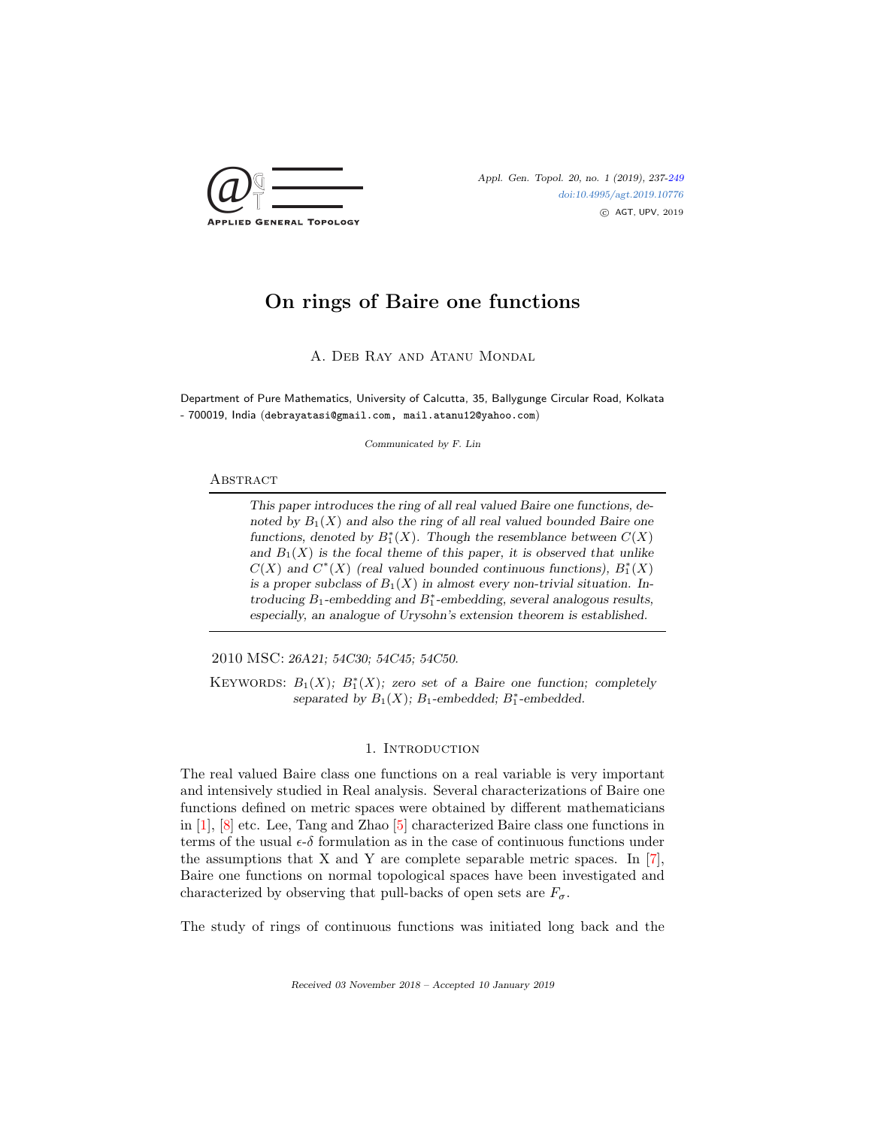

Appl. Gen. Topol. 20, no. 1 (2019), 237[-249](#page-11-0) [doi:10.4995/agt.2019.10776](http://dx.doi.org/10.4995/agt.2019.10776) c AGT, UPV, 2019

# On rings of Baire one functions

A. Deb Ray and Atanu Mondal

Department of Pure Mathematics, University of Calcutta, 35, Ballygunge Circular Road, Kolkata - 700019, India (debrayatasi@gmail.com, mail.atanu12@yahoo.com)

Communicated by F. Lin

#### **ABSTRACT**

This paper introduces the ring of all real valued Baire one functions, denoted by  $B_1(X)$  and also the ring of all real valued bounded Baire one functions, denoted by  $B_1^*(X)$ . Though the resemblance between  $C(X)$ and  $B_1(X)$  is the focal theme of this paper, it is observed that unlike  $C(X)$  and  $C^*(X)$  (real valued bounded continuous functions),  $B_1^*(X)$ is a proper subclass of  $B_1(X)$  in almost every non-trivial situation. Introducing  $B_1$ -embedding and  $B_1^*$ -embedding, several analogous results, especially, an analogue of Urysohn's extension theorem is established.

2010 MSC: 26A21; 54C30; 54C45; 54C50.

KEYWORDS:  $B_1(X)$ ;  $B_1^*(X)$ ; zero set of a Baire one function; completely separated by  $B_1(X)$ ;  $B_1$ -embedded;  $B_1^*$ -embedded.

## 1. INTRODUCTION

The real valued Baire class one functions on a real variable is very important and intensively studied in Real analysis. Several characterizations of Baire one functions defined on metric spaces were obtained by different mathematicians in [\[1\]](#page-11-1), [\[8\]](#page-12-0) etc. Lee, Tang and Zhao [\[5\]](#page-12-1) characterized Baire class one functions in terms of the usual  $\epsilon$ - $\delta$  formulation as in the case of continuous functions under the assumptions that X and Y are complete separable metric spaces. In  $[7]$ , Baire one functions on normal topological spaces have been investigated and characterized by observing that pull-backs of open sets are  $F_{\sigma}$ .

The study of rings of continuous functions was initiated long back and the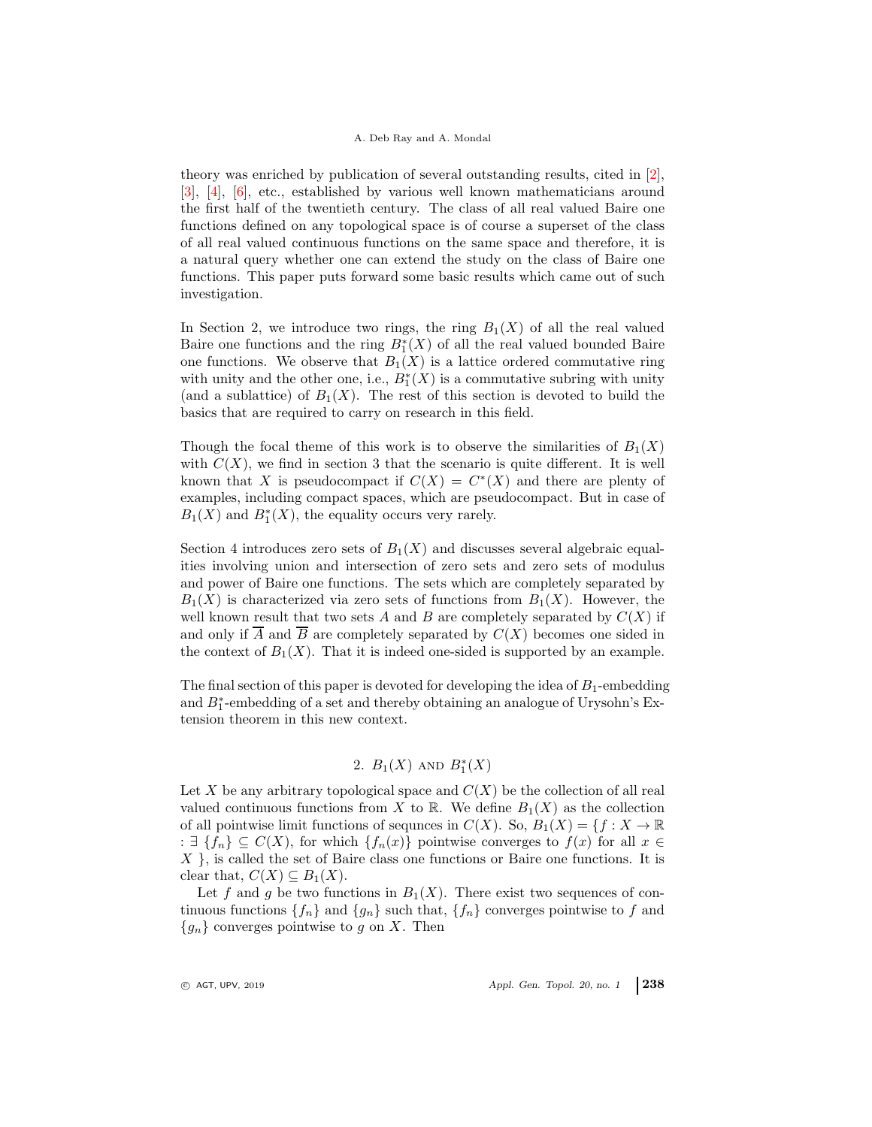### A. Deb Ray and A. Mondal

theory was enriched by publication of several outstanding results, cited in [\[2\]](#page-11-2), [\[3\]](#page-11-3), [\[4\]](#page-12-3), [\[6\]](#page-12-4), etc., established by various well known mathematicians around the first half of the twentieth century. The class of all real valued Baire one functions defined on any topological space is of course a superset of the class of all real valued continuous functions on the same space and therefore, it is a natural query whether one can extend the study on the class of Baire one functions. This paper puts forward some basic results which came out of such investigation.

In Section 2, we introduce two rings, the ring  $B_1(X)$  of all the real valued Baire one functions and the ring  $B_1^*(X)$  of all the real valued bounded Baire one functions. We observe that  $B_1(X)$  is a lattice ordered commutative ring with unity and the other one, i.e.,  $B_1^*(X)$  is a commutative subring with unity (and a sublattice) of  $B_1(X)$ . The rest of this section is devoted to build the basics that are required to carry on research in this field.

Though the focal theme of this work is to observe the similarities of  $B_1(X)$ with  $C(X)$ , we find in section 3 that the scenario is quite different. It is well known that X is pseudocompact if  $C(X) = C^*(X)$  and there are plenty of examples, including compact spaces, which are pseudocompact. But in case of  $B_1(X)$  and  $B_1^*(X)$ , the equality occurs very rarely.

Section 4 introduces zero sets of  $B_1(X)$  and discusses several algebraic equalities involving union and intersection of zero sets and zero sets of modulus and power of Baire one functions. The sets which are completely separated by  $B_1(X)$  is characterized via zero sets of functions from  $B_1(X)$ . However, the well known result that two sets A and B are completely separated by  $C(X)$  if and only if  $\overline{A}$  and  $\overline{B}$  are completely separated by  $C(X)$  becomes one sided in the context of  $B_1(X)$ . That it is indeed one-sided is supported by an example.

The final section of this paper is devoted for developing the idea of  $B_1$ -embedding and  $B_1^{\ast}$  embedding of a set and thereby obtaining an analogue of Urysohn's Extension theorem in this new context.

# 2.  $B_1(X)$  and  $B_1^*(X)$

Let X be any arbitrary topological space and  $C(X)$  be the collection of all real valued continuous functions from X to R. We define  $B_1(X)$  as the collection of all pointwise limit functions of sequnces in  $C(X)$ . So,  $B_1(X) = \{f : X \to \mathbb{R}$ :  $\exists \{f_n\} \subseteq C(X)$ , for which  $\{f_n(x)\}\$ pointwise converges to  $f(x)$  for all  $x \in$  $X$ , is called the set of Baire class one functions or Baire one functions. It is clear that,  $C(X) \subseteq B_1(X)$ .

Let f and g be two functions in  $B_1(X)$ . There exist two sequences of continuous functions  $\{f_n\}$  and  $\{g_n\}$  such that,  $\{f_n\}$  converges pointwise to f and  ${g_n}$  converges pointwise to g on X. Then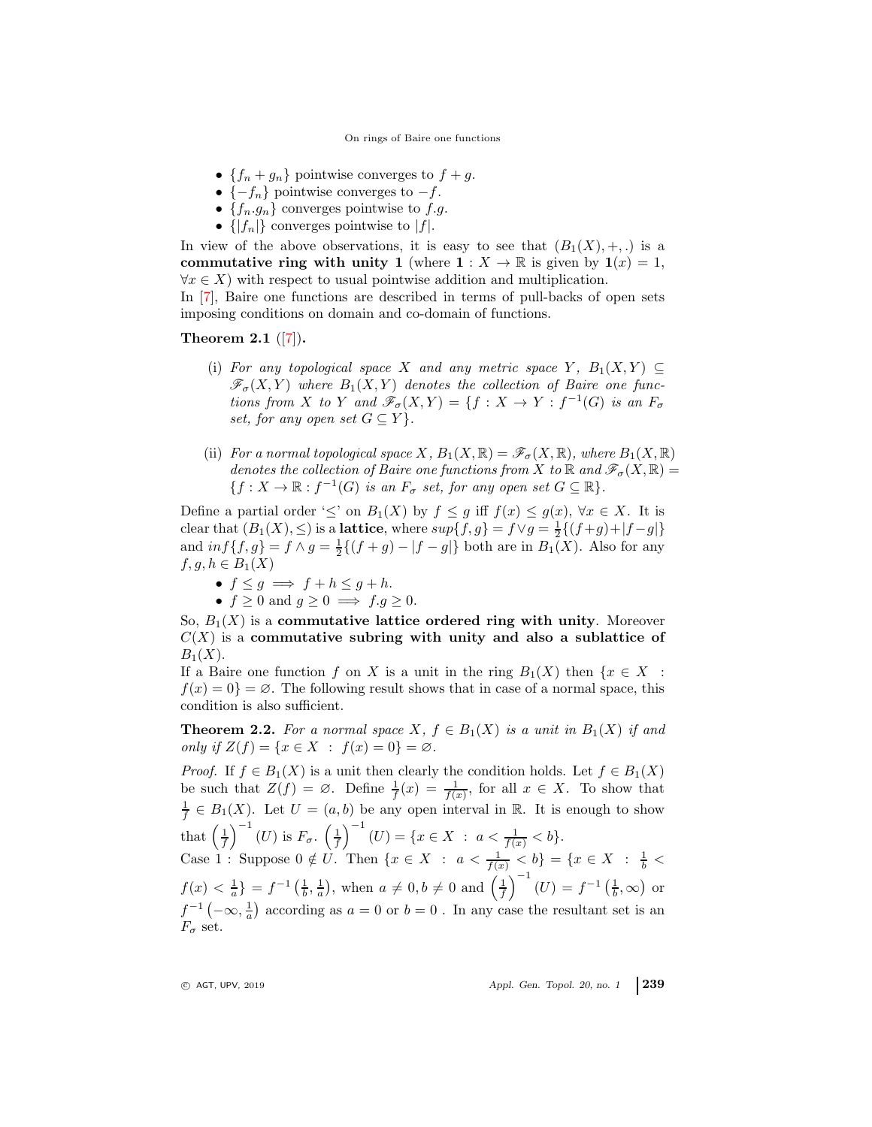- ${f_n+g_n}$  pointwise converges to  $f+g$ .
- $\{-f_n\}$  pointwise converges to  $-f$ .
- $\{f_n.g_n\}$  converges pointwise to f.g.
- $\{|f_n|\}$  converges pointwise to  $|f|$ .

In view of the above observations, it is easy to see that  $(B_1(X), +, \ldots)$  is a commutative ring with unity 1 (where  $1: X \to \mathbb{R}$  is given by  $1(x) = 1$ ,  $\forall x \in X$ ) with respect to usual pointwise addition and multiplication.

In [\[7\]](#page-12-2), Baire one functions are described in terms of pull-backs of open sets imposing conditions on domain and co-domain of functions.

# <span id="page-2-0"></span>Theorem 2.1 ([\[7\]](#page-12-2)).

- (i) For any topological space X and any metric space Y,  $B_1(X, Y) \subseteq$  $\mathscr{F}_{\sigma}(X,Y)$  where  $B_1(X,Y)$  denotes the collection of Baire one functions from X to Y and  $\mathscr{F}_{\sigma}(X,Y) = \{f : X \to Y : f^{-1}(G)$  is an  $F_{\sigma}$ set, for any open set  $G \subseteq Y$ .
- (ii) For a normal topological space X,  $B_1(X,\mathbb{R}) = \mathscr{F}_{\sigma}(X,\mathbb{R})$ , where  $B_1(X,\mathbb{R})$ denotes the collection of Baire one functions from X to R and  $\mathscr{F}_{\sigma}(X,\mathbb{R})=$  $\{f: X \to \mathbb{R} : f^{-1}(G)$  is an  $F_{\sigma}$  set, for any open set  $G \subseteq \mathbb{R}\}.$

Define a partial order ' $\leq'$  on  $B_1(X)$  by  $f \leq g$  iff  $f(x) \leq g(x)$ ,  $\forall x \in X$ . It is clear that  $(B_1(X), \leq)$  is a **lattice**, where  $sup{f, g} = f \vee g = \frac{1}{2} \{(f+g) + |f-g|\}$ and  $inf{f, g} = f \wedge g = \frac{1}{2} \{(f + g) - |f - g|\}$  both are in  $B_1(X)$ . Also for any  $f, g, h \in B_1(X)$ 

\n- \n
$$
f \leq g \implies f + h \leq g + h.
$$
\n
\n- \n $f \geq 0 \text{ and } g \geq 0 \implies f \cdot g \geq 0.$ \n
\n

So,  $B_1(X)$  is a commutative lattice ordered ring with unity. Moreover  $C(X)$  is a commutative subring with unity and also a sublattice of  $B_1(X)$ .

If a Baire one function f on X is a unit in the ring  $B_1(X)$  then  $\{x \in X$ :  $f(x) = 0$  =  $\emptyset$ . The following result shows that in case of a normal space, this condition is also sufficient.

**Theorem 2.2.** For a normal space X,  $f \in B_1(X)$  is a unit in  $B_1(X)$  if and only if  $Z(f) = \{x \in X : f(x) = 0\} = \emptyset$ .

*Proof.* If  $f \in B_1(X)$  is a unit then clearly the condition holds. Let  $f \in B_1(X)$ be such that  $Z(f) = \emptyset$ . Define  $\frac{1}{f}(x) = \frac{1}{f(x)}$ , for all  $x \in X$ . To show that  $\frac{1}{f} \in B_1(X)$ . Let  $U = (a, b)$  be any open interval in R. It is enough to show that  $\left(\frac{1}{f}\right)^{-1}(U)$  is  $F_{\sigma}$ .  $\left(\frac{1}{f}\right)^{-1}(U) = \{x \in X : a < \frac{1}{f(x)} < b\}.$ Case 1 : Suppose  $0 \notin U$ . Then  $\{x \in X : a < \frac{1}{f(x)} < b\} = \{x \in X : \frac{1}{b} <$  $f(x) < \frac{1}{a}$ } =  $f^{-1}(\frac{1}{b}, \frac{1}{a})$ , when  $a \neq 0, b \neq 0$  and  $(\frac{1}{f})^{-1}(U) = f^{-1}(\frac{1}{b}, \infty)$  or  $f^{-1}\left(-\infty,\frac{1}{a}\right)$  according as  $a=0$  or  $b=0$ . In any case the resultant set is an  $F_{\sigma}$  set.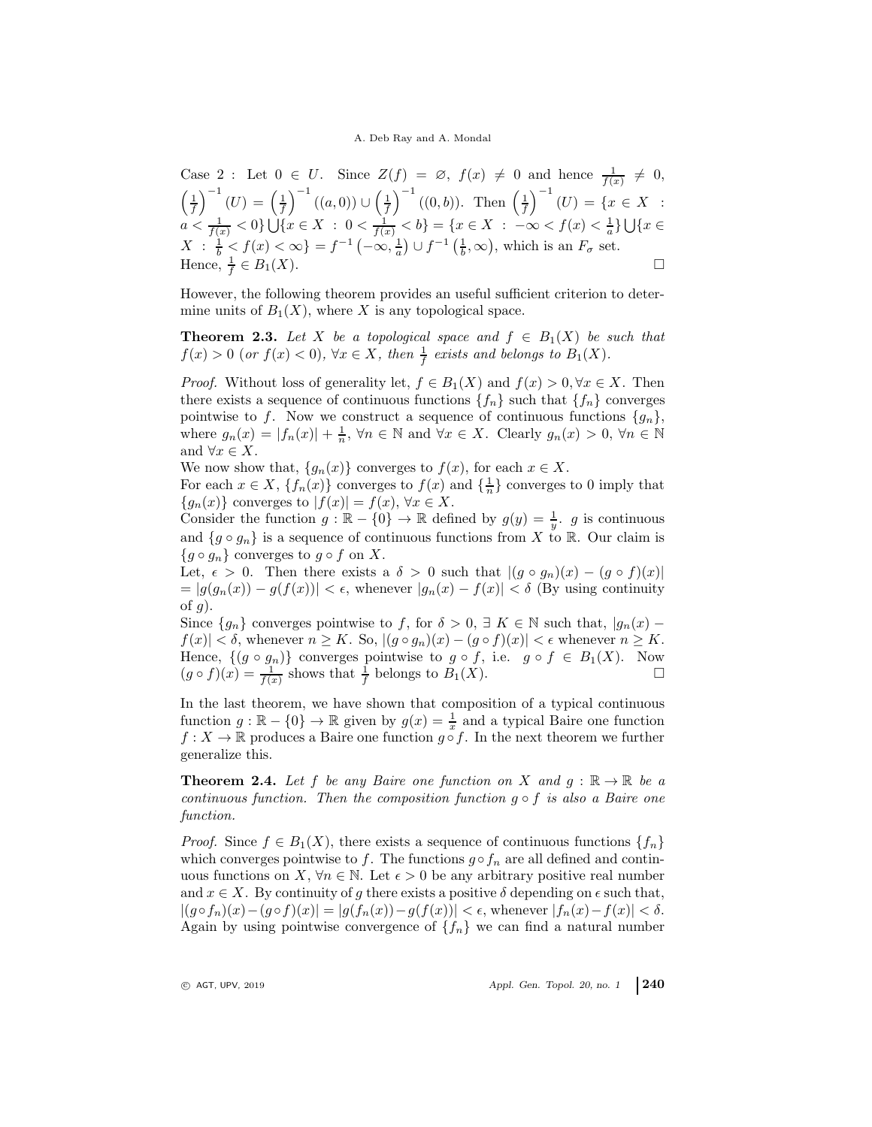### A. Deb Ray and A. Mondal

Case 2 : Let 
$$
0 \in U
$$
. Since  $Z(f) = \emptyset$ ,  $f(x) \neq 0$  and hence  $\frac{1}{f(x)} \neq 0$ ,  
\n $\left(\frac{1}{f}\right)^{-1}(U) = \left(\frac{1}{f}\right)^{-1}((a,0)) \cup \left(\frac{1}{f}\right)^{-1}((0,b))$ . Then  $\left(\frac{1}{f}\right)^{-1}(U) = \{x \in X : a < \frac{1}{f(x)} < 0\} \cup \{x \in X : 0 < \frac{1}{f(x)} < b\} = \{x \in X : -\infty < f(x) < \frac{1}{a}\} \cup \{x \in X : \frac{1}{b} < f(x) < \infty\} = f^{-1}(-\infty, \frac{1}{a}) \cup f^{-1}(\frac{1}{b}, \infty)$ , which is an  $F_{\sigma}$  set.  
\nHence,  $\frac{1}{f} \in B_1(X)$ .

However, the following theorem provides an useful sufficient criterion to determine units of  $B_1(X)$ , where X is any topological space.

<span id="page-3-0"></span>**Theorem 2.3.** Let X be a topological space and  $f \in B_1(X)$  be such that  $f(x) > 0$  (or  $f(x) < 0$ ),  $\forall x \in X$ , then  $\frac{1}{f}$  exists and belongs to  $B_1(X)$ .

*Proof.* Without loss of generality let,  $f \in B_1(X)$  and  $f(x) > 0, \forall x \in X$ . Then there exists a sequence of continuous functions  ${f_n}$  such that  ${f_n}$  converges pointwise to f. Now we construct a sequence of continuous functions  $\{g_n\}$ , where  $g_n(x) = |f_n(x)| + \frac{1}{n}, \forall n \in \mathbb{N}$  and  $\forall x \in X$ . Clearly  $g_n(x) > 0, \forall n \in \mathbb{N}$ and  $\forall x \in X$ .

We now show that,  $\{g_n(x)\}\$ converges to  $f(x)$ , for each  $x \in X$ .

For each  $x \in X$ ,  $\{f_n(x)\}\$ converges to  $f(x)$  and  $\{\frac{1}{n}\}\$ converges to 0 imply that  ${g_n(x)}$  converges to  $|f(x)| = f(x), \forall x \in X$ .

Consider the function  $g : \mathbb{R} - \{0\} \to \mathbb{R}$  defined by  $g(y) = \frac{1}{y}$ . g is continuous and  $\{g \circ g_n\}$  is a sequence of continuous functions from X to R. Our claim is  ${g \circ g_n}$  converges to  $g \circ f$  on X.

Let,  $\epsilon > 0$ . Then there exists a  $\delta > 0$  such that  $|(g \circ g_n)(x) - (g \circ f)(x)|$  $= |g(g_n(x)) - g(f(x))| < \epsilon$ , whenever  $|g_n(x) - f(x)| < \delta$  (By using continuity of  $g$ ).

Since  ${g_n}$  converges pointwise to f, for  $\delta > 0$ ,  $\exists K \in \mathbb{N}$  such that,  $|g_n(x) |f(x)| < \delta$ , whenever  $n \geq K$ . So,  $|(g \circ g_n)(x) - (g \circ f)(x)| < \epsilon$  whenever  $n \geq K$ . Hence,  $\{(g \circ g_n)\}\)$  converges pointwise to  $g \circ f$ , i.e.  $g \circ f \in B_1(X)$ . Now  $(g \circ f)(x) = \frac{1}{f(x)}$  shows that  $\frac{1}{f}$  belongs to  $B_1(X)$ .

In the last theorem, we have shown that composition of a typical continuous function  $g : \mathbb{R} - \{0\} \to \mathbb{R}$  given by  $g(x) = \frac{1}{x}$  and a typical Baire one function  $f: X \to \mathbb{R}$  produces a Baire one function  $g \circ f$ . In the next theorem we further generalize this.

<span id="page-3-1"></span>**Theorem 2.4.** Let f be any Baire one function on X and  $q : \mathbb{R} \to \mathbb{R}$  be a continuous function. Then the composition function  $g \circ f$  is also a Baire one function.

*Proof.* Since  $f \in B_1(X)$ , there exists a sequence of continuous functions  $\{f_n\}$ which converges pointwise to f. The functions  $g \circ f_n$  are all defined and continuous functions on X,  $\forall n \in \mathbb{N}$ . Let  $\epsilon > 0$  be any arbitrary positive real number and  $x \in X$ . By continuity of g there exists a positive  $\delta$  depending on  $\epsilon$  such that,  $|(g \circ f_n)(x) - (g \circ f)(x)| = |g(f_n(x)) - g(f(x))| < \epsilon$ , whenever  $|f_n(x) - f(x)| < \delta$ . Again by using pointwise convergence of  $\{f_n\}$  we can find a natural number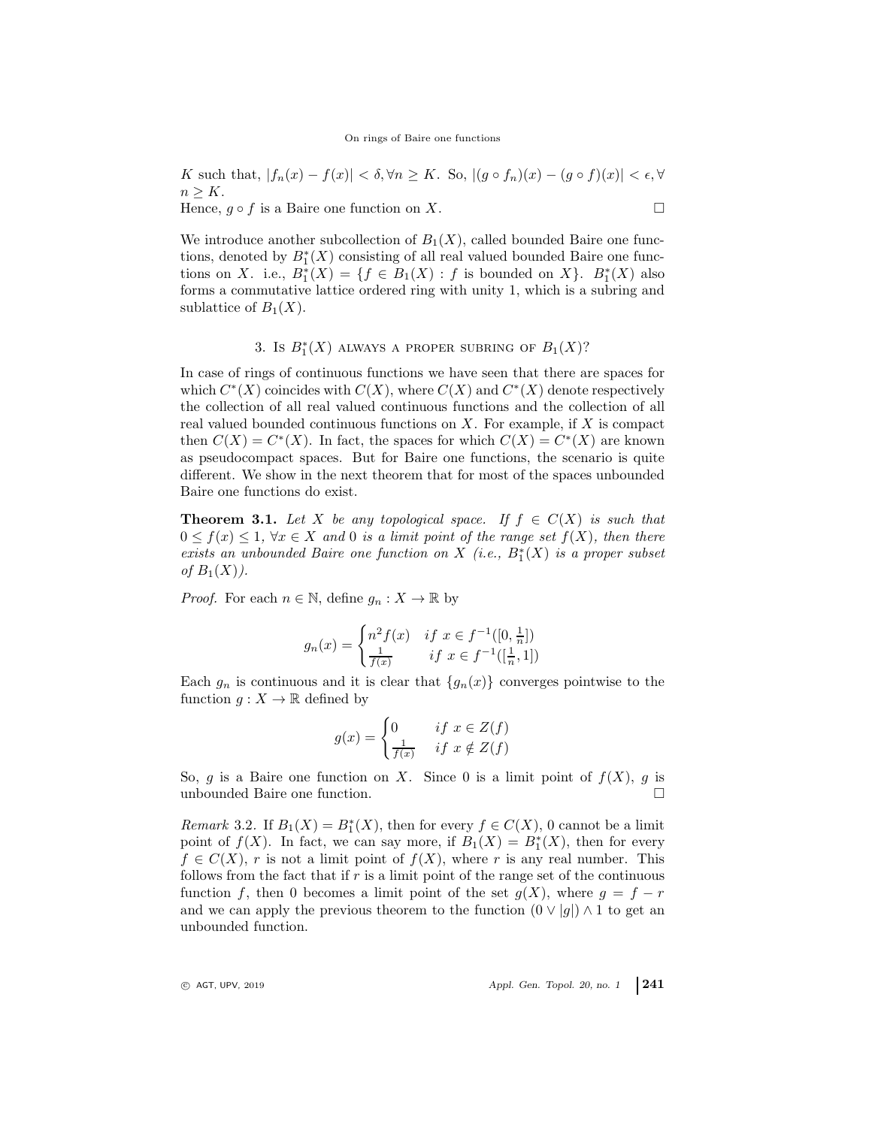K such that,  $|f_n(x) - f(x)| < \delta, \forall n \geq K$ . So,  $|(g \circ f_n)(x) - (g \circ f)(x)| < \epsilon, \forall$  $n > K$ . Hence,  $g \circ f$  is a Baire one function on X.

We introduce another subcollection of  $B_1(X)$ , called bounded Baire one functions, denoted by  $B_1^*(X)$  consisting of all real valued bounded Baire one functions on X. i.e.,  $B_1^*(X) = \{f \in B_1(X) : f \text{ is bounded on } X\}$ .  $B_1^*(X)$  also forms a commutative lattice ordered ring with unity 1, which is a subring and sublattice of  $B_1(X)$ .

# 3. Is  $B_1^*(X)$  always a proper subring of  $B_1(X)$ ?

In case of rings of continuous functions we have seen that there are spaces for which  $C^*(X)$  coincides with  $C(X)$ , where  $C(X)$  and  $C^*(X)$  denote respectively the collection of all real valued continuous functions and the collection of all real valued bounded continuous functions on  $X$ . For example, if  $X$  is compact then  $C(X) = C^*(X)$ . In fact, the spaces for which  $C(X) = C^*(X)$  are known as pseudocompact spaces. But for Baire one functions, the scenario is quite different. We show in the next theorem that for most of the spaces unbounded Baire one functions do exist.

**Theorem 3.1.** Let X be any topological space. If  $f \in C(X)$  is such that  $0 \le f(x) \le 1$ ,  $\forall x \in X$  and 0 is a limit point of the range set  $f(X)$ , then there exists an unbounded Baire one function on  $X$  (i.e.,  $B_1^*(X)$  is a proper subset of  $B_1(X)$ ).

*Proof.* For each  $n \in \mathbb{N}$ , define  $g_n : X \to \mathbb{R}$  by

$$
g_n(x) = \begin{cases} n^2 f(x) & \text{if } x \in f^{-1}([0, \frac{1}{n}]) \\ \frac{1}{f(x)} & \text{if } x \in f^{-1}([\frac{1}{n}, 1]) \end{cases}
$$

Each  $g_n$  is continuous and it is clear that  $\{g_n(x)\}\$ converges pointwise to the function  $g: X \to \mathbb{R}$  defined by

$$
g(x) = \begin{cases} 0 & \text{if } x \in Z(f) \\ \frac{1}{f(x)} & \text{if } x \notin Z(f) \end{cases}
$$

So, g is a Baire one function on X. Since 0 is a limit point of  $f(X)$ , g is unbounded Baire one function.  $\hfill \square$ 

<span id="page-4-0"></span>*Remark* 3.2. If  $B_1(X) = B_1^*(X)$ , then for every  $f \in C(X)$ , 0 cannot be a limit point of  $f(X)$ . In fact, we can say more, if  $B_1(X) = B_1^*(X)$ , then for every  $f \in C(X)$ , r is not a limit point of  $f(X)$ , where r is any real number. This follows from the fact that if  $r$  is a limit point of the range set of the continuous function f, then 0 becomes a limit point of the set  $g(X)$ , where  $g = f - r$ and we can apply the previous theorem to the function  $(0 \vee |g|) \wedge 1$  to get an unbounded function.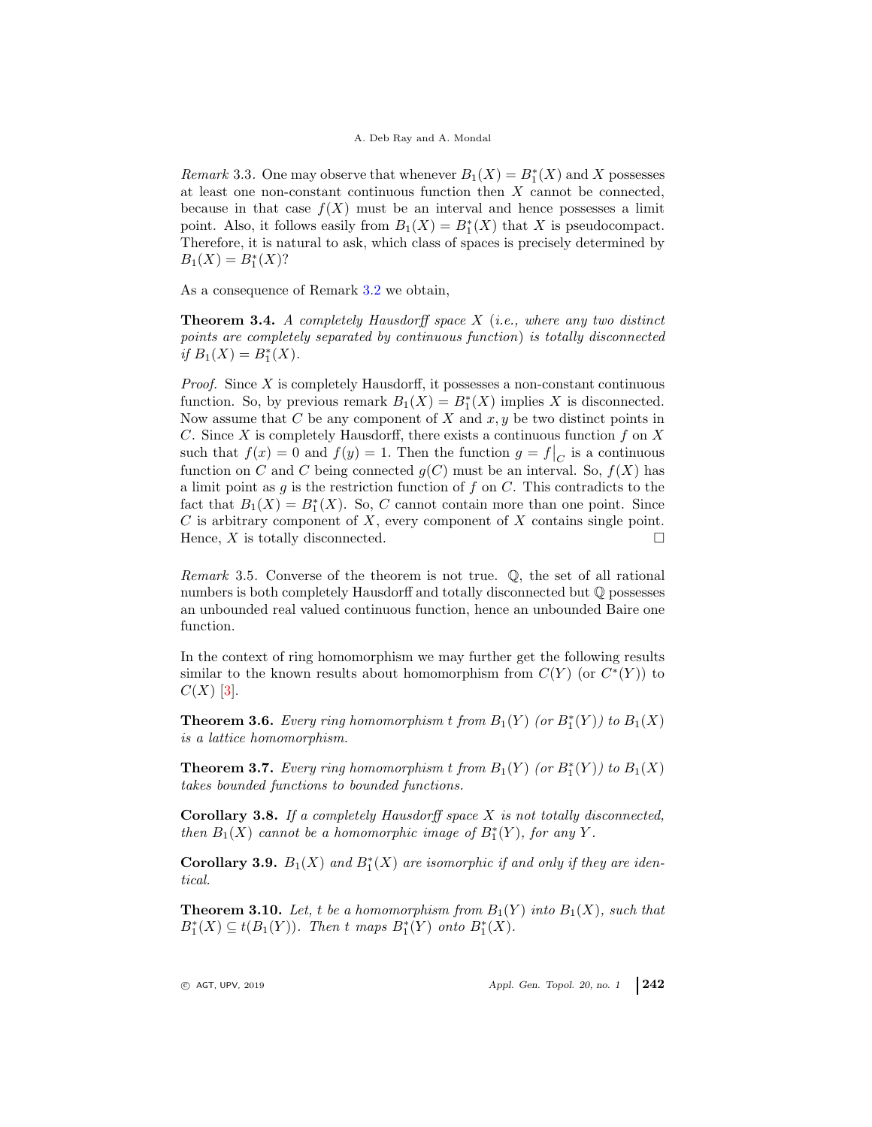*Remark* 3.3. One may observe that whenever  $B_1(X) = B_1^*(X)$  and X possesses at least one non-constant continuous function then X cannot be connected, because in that case  $f(X)$  must be an interval and hence possesses a limit point. Also, it follows easily from  $B_1(X) = B_1^*(X)$  that X is pseudocompact. Therefore, it is natural to ask, which class of spaces is precisely determined by  $B_1(X) = B_1^*(X)$ ?

As a consequence of Remark [3.2](#page-4-0) we obtain,

**Theorem 3.4.** A completely Hausdorff space  $X$  (i.e., where any two distinct points are completely separated by continuous function) is totally disconnected if  $B_1(X) = B_1^*(X)$ .

*Proof.* Since  $X$  is completely Hausdorff, it possesses a non-constant continuous function. So, by previous remark  $B_1(X) = B_1^*(X)$  implies X is disconnected. Now assume that  $C$  be any component of  $X$  and  $x, y$  be two distinct points in C. Since X is completely Hausdorff, there exists a continuous function  $f$  on  $X$ such that  $f(x) = 0$  and  $f(y) = 1$ . Then the function  $g = f|_C$  is a continuous function on C and C being connected  $g(C)$  must be an interval. So,  $f(X)$  has a limit point as q is the restriction function of f on  $C$ . This contradicts to the fact that  $B_1(X) = B_1^*(X)$ . So, C cannot contain more than one point. Since  $C$  is arbitrary component of  $X$ , every component of  $X$  contains single point. Hence,  $X$  is totally disconnected.  $\Box$ 

Remark 3.5. Converse of the theorem is not true. Q, the set of all rational numbers is both completely Hausdorff and totally disconnected but Q possesses an unbounded real valued continuous function, hence an unbounded Baire one function.

In the context of ring homomorphism we may further get the following results similar to the known results about homomorphism from  $C(Y)$  (or  $C^*(Y)$ ) to  $C(X)$  [\[3\]](#page-11-3).

**Theorem 3.6.** Every ring homomorphism t from  $B_1(Y)$  (or  $B_1^*(Y)$ ) to  $B_1(X)$ is a lattice homomorphism.

**Theorem 3.7.** Every ring homomorphism t from  $B_1(Y)$  (or  $B_1^*(Y)$ ) to  $B_1(X)$ takes bounded functions to bounded functions.

**Corollary 3.8.** If a completely Hausdorff space  $X$  is not totally disconnected, then  $B_1(X)$  cannot be a homomorphic image of  $B_1^*(Y)$ , for any Y.

**Corollary 3.9.**  $B_1(X)$  and  $B_1^*(X)$  are isomorphic if and only if they are identical.

**Theorem 3.10.** Let, t be a homomorphism from  $B_1(Y)$  into  $B_1(X)$ , such that  $B_1^*(X) \subseteq t(B_1(Y))$ . Then t maps  $B_1^*(Y)$  onto  $B_1^*(X)$ .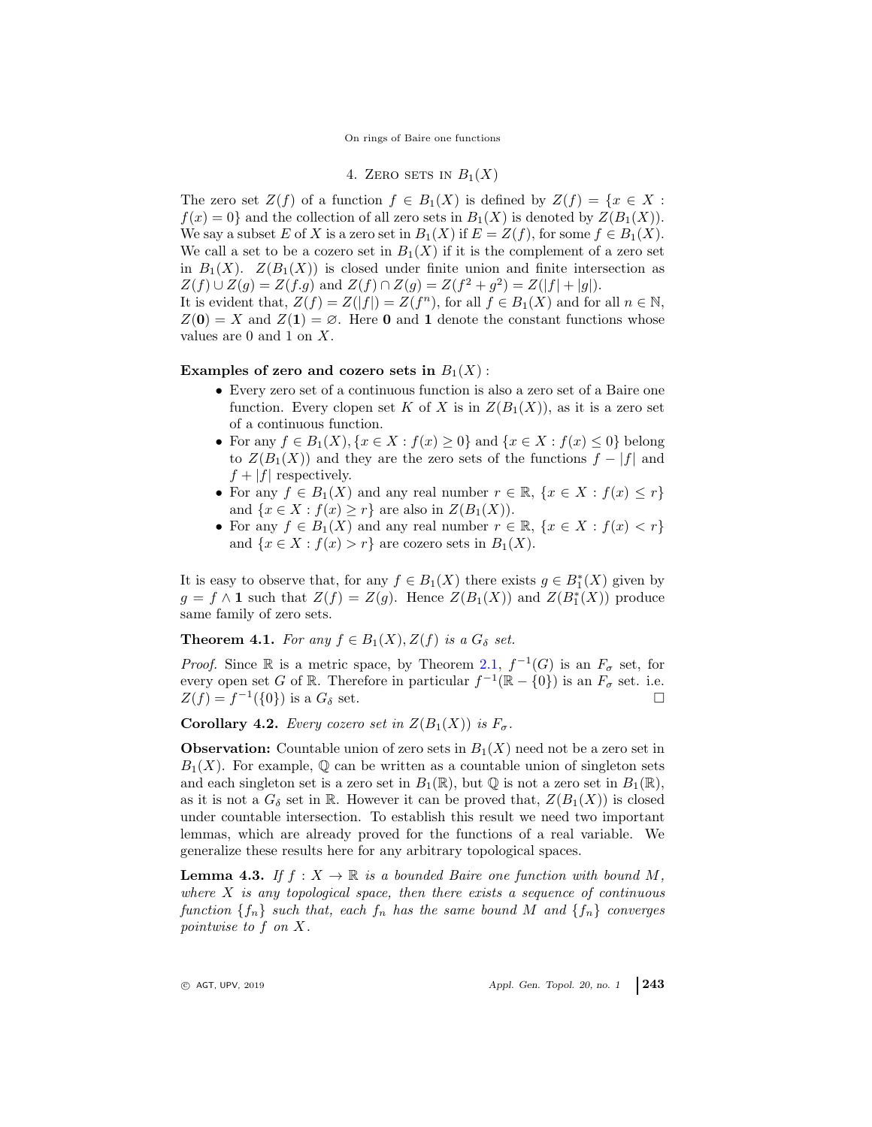4. ZERO SETS IN  $B_1(X)$ 

The zero set  $Z(f)$  of a function  $f \in B_1(X)$  is defined by  $Z(f) = \{x \in X :$  $f(x) = 0$  and the collection of all zero sets in  $B_1(X)$  is denoted by  $Z(B_1(X))$ . We say a subset E of X is a zero set in  $B_1(X)$  if  $E = Z(f)$ , for some  $f \in B_1(X)$ . We call a set to be a cozero set in  $B_1(X)$  if it is the complement of a zero set in  $B_1(X)$ .  $Z(B_1(X))$  is closed under finite union and finite intersection as  $Z(f) \cup Z(g) = Z(f.g)$  and  $Z(f) \cap Z(g) = Z(f^2 + g^2) = Z(|f| + |g|).$ 

It is evident that,  $Z(f) = Z(|f|) = Z(f^n)$ , for all  $f \in B_1(X)$  and for all  $n \in \mathbb{N}$ ,  $Z(\mathbf{0}) = X$  and  $Z(\mathbf{1}) = \emptyset$ . Here **0** and **1** denote the constant functions whose values are 0 and 1 on X.

#### Examples of zero and cozero sets in  $B_1(X)$ :

- Every zero set of a continuous function is also a zero set of a Baire one function. Every clopen set K of X is in  $Z(B_1(X))$ , as it is a zero set of a continuous function.
- For any  $f \in B_1(X)$ ,  $\{x \in X : f(x) \geq 0\}$  and  $\{x \in X : f(x) \leq 0\}$  belong to  $Z(B_1(X))$  and they are the zero sets of the functions  $f - |f|$  and  $f + |f|$  respectively.
- For any  $f \in B_1(X)$  and any real number  $r \in \mathbb{R}$ ,  $\{x \in X : f(x) \leq r\}$ and  $\{x \in X : f(x) \geq r\}$  are also in  $Z(B_1(X))$ .
- For any  $f \in B_1(X)$  and any real number  $r \in \mathbb{R}$ ,  $\{x \in X : f(x) < r\}$ and  $\{x \in X : f(x) > r\}$  are cozero sets in  $B_1(X)$ .

It is easy to observe that, for any  $f \in B_1(X)$  there exists  $g \in B_1^*(X)$  given by  $g = f \wedge \mathbf{1}$  such that  $Z(f) = Z(g)$ . Hence  $Z(B_1(X))$  and  $Z(B_1^*(X))$  produce same family of zero sets.

**Theorem 4.1.** For any  $f \in B_1(X), Z(f)$  is a  $G_\delta$  set.

*Proof.* Since R is a metric space, by Theorem [2.1,](#page-2-0)  $f^{-1}(G)$  is an  $F_{\sigma}$  set, for every open set G of R. Therefore in particular  $f^{-1}(\mathbb{R} - \{0\})$  is an  $F_{\sigma}$  set. i.e.  $Z(f) = f^{-1}(\{0\})$  is a  $G_{\delta}$  set.

**Corollary 4.2.** Every cozero set in  $Z(B_1(X))$  is  $F_{\sigma}$ .

**Observation:** Countable union of zero sets in  $B_1(X)$  need not be a zero set in  $B_1(X)$ . For example, Q can be written as a countable union of singleton sets and each singleton set is a zero set in  $B_1(\mathbb{R})$ , but  $\mathbb Q$  is not a zero set in  $B_1(\mathbb{R})$ , as it is not a  $G_{\delta}$  set in R. However it can be proved that,  $Z(B_1(X))$  is closed under countable intersection. To establish this result we need two important lemmas, which are already proved for the functions of a real variable. We generalize these results here for any arbitrary topological spaces.

<span id="page-6-0"></span>**Lemma 4.3.** If  $f: X \to \mathbb{R}$  is a bounded Baire one function with bound M, where  $X$  is any topological space, then there exists a sequence of continuous function  $\{f_n\}$  such that, each  $f_n$  has the same bound M and  $\{f_n\}$  converges pointwise to f on X.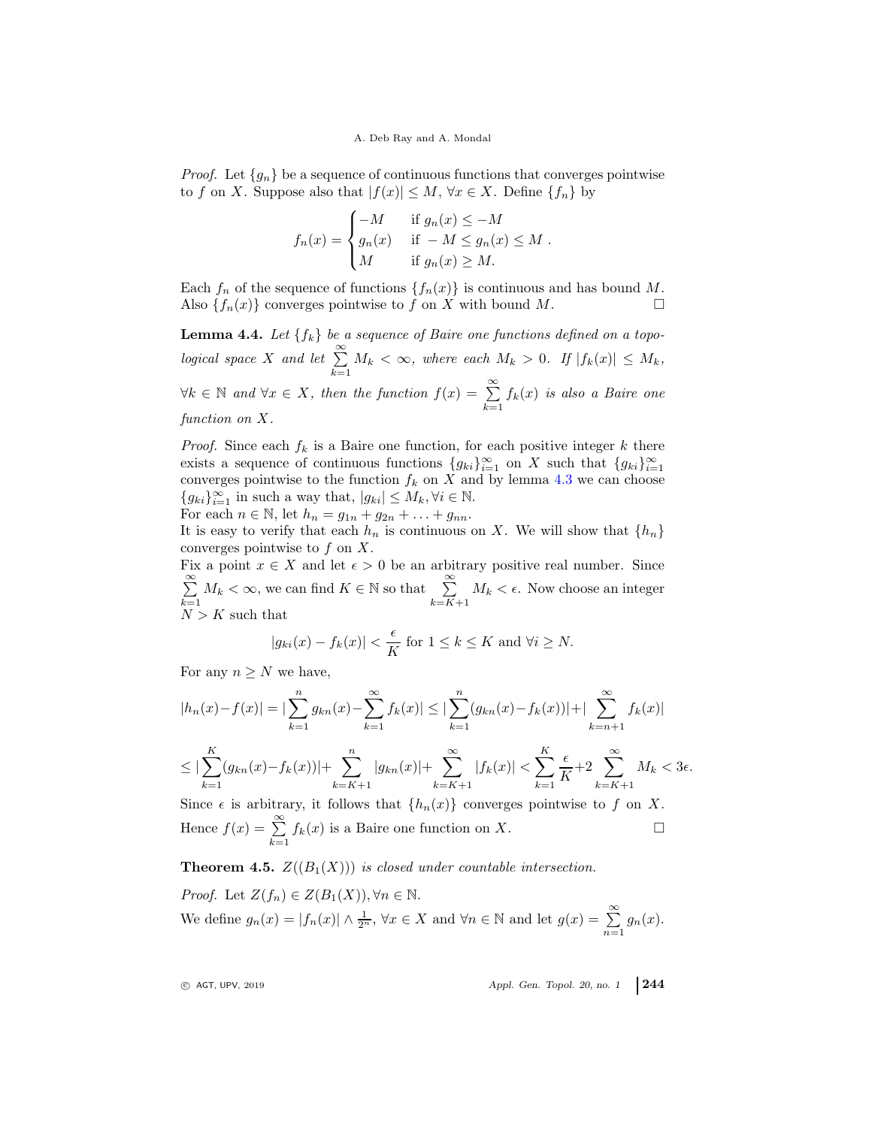*Proof.* Let  ${g_n}$  be a sequence of continuous functions that converges pointwise to f on X. Suppose also that  $|f(x)| \leq M$ ,  $\forall x \in X$ . Define  $\{f_n\}$  by

$$
f_n(x) = \begin{cases} -M & \text{if } g_n(x) \le -M \\ g_n(x) & \text{if } -M \le g_n(x) \le M \\ M & \text{if } g_n(x) \ge M. \end{cases}
$$

Each  $f_n$  of the sequence of functions  $\{f_n(x)\}\$ is continuous and has bound M. Also  $\{f_n(x)\}\$ converges pointwise to f on X with bound M.

<span id="page-7-0"></span>**Lemma 4.4.** Let  $\{f_k\}$  be a sequence of Baire one functions defined on a topological space X and let  $\sum^{\infty}$  $\sum_{k=1} M_k < \infty$ , where each  $M_k > 0$ . If  $|f_k(x)| \leq M_k$ ,  $\forall k \in \mathbb{N}$  and  $\forall x \in X$ , then the function  $f(x) = \sum_{k=1}^{\infty}$  $\sum_{k=1} f_k(x)$  is also a Baire one function on X.

*Proof.* Since each  $f_k$  is a Baire one function, for each positive integer k there exists a sequence of continuous functions  ${g_{ki}}_{i=1}^{\infty}$  on X such that  ${g_{ki}}_{i=1}^{\infty}$ converges pointwise to the function  $f_k$  on X and by lemma [4.3](#page-6-0) we can choose  ${g_{ki}}_{i=1}^{\infty}$  in such a way that,  $|g_{ki}| \leq M_k, \forall i \in \mathbb{N}$ .

For each  $n \in \mathbb{N}$ , let  $h_n = g_{1n} + g_{2n} + \ldots + g_{nn}$ .

It is easy to verify that each  $h_n$  is continuous on X. We will show that  $\{h_n\}$ converges pointwise to  $f$  on  $X$ .

Fix a point  $x \in X$  and let  $\epsilon > 0$  be an arbitrary positive real number. Since  $\sum_{i=1}^{\infty}$  $\sum_{k=1}^{\infty} M_k < \infty$ , we can find  $K \in \mathbb{N}$  so that  $\sum_{k=K+1}^{\infty} M_k < \epsilon$ . Now choose an integer  $N > K$  such that

$$
|g_{ki}(x) - f_k(x)| < \frac{\epsilon}{K} \text{ for } 1 \le k \le K \text{ and } \forall i \ge N.
$$

For any  $n \geq N$  we have,

$$
|h_n(x) - f(x)| = |\sum_{k=1}^n g_{kn}(x) - \sum_{k=1}^\infty f_k(x)| \le |\sum_{k=1}^n (g_{kn}(x) - f_k(x))| + |\sum_{k=n+1}^\infty f_k(x)|
$$
  

$$
\le |\sum_{k=1}^K (g_{kn}(x) - f_k(x))| + \sum_{k=K+1}^n |g_{kn}(x)| + \sum_{k=K+1}^\infty |f_k(x)| < \sum_{k=1}^K \frac{\epsilon}{K} + 2 \sum_{k=K+1}^\infty M_k < 3\epsilon.
$$

Since  $\epsilon$  is arbitrary, it follows that  $\{h_n(x)\}\$ converges pointwise to f on X. Hence  $f(x) = \sum_{n=0}^{\infty}$  $\sum_{k=1}^{\infty} f_k(x)$  is a Baire one function on X.

**Theorem 4.5.**  $Z((B_1(X)))$  is closed under countable intersection.

*Proof.* Let  $Z(f_n) \in Z(B_1(X)), \forall n \in \mathbb{N}$ . We define  $g_n(x) = |f_n(x)| \wedge \frac{1}{2^n}$ ,  $\forall x \in X$  and  $\forall n \in \mathbb{N}$  and let  $g(x) = \sum_{n=1}^{\infty} g_n(x)$ .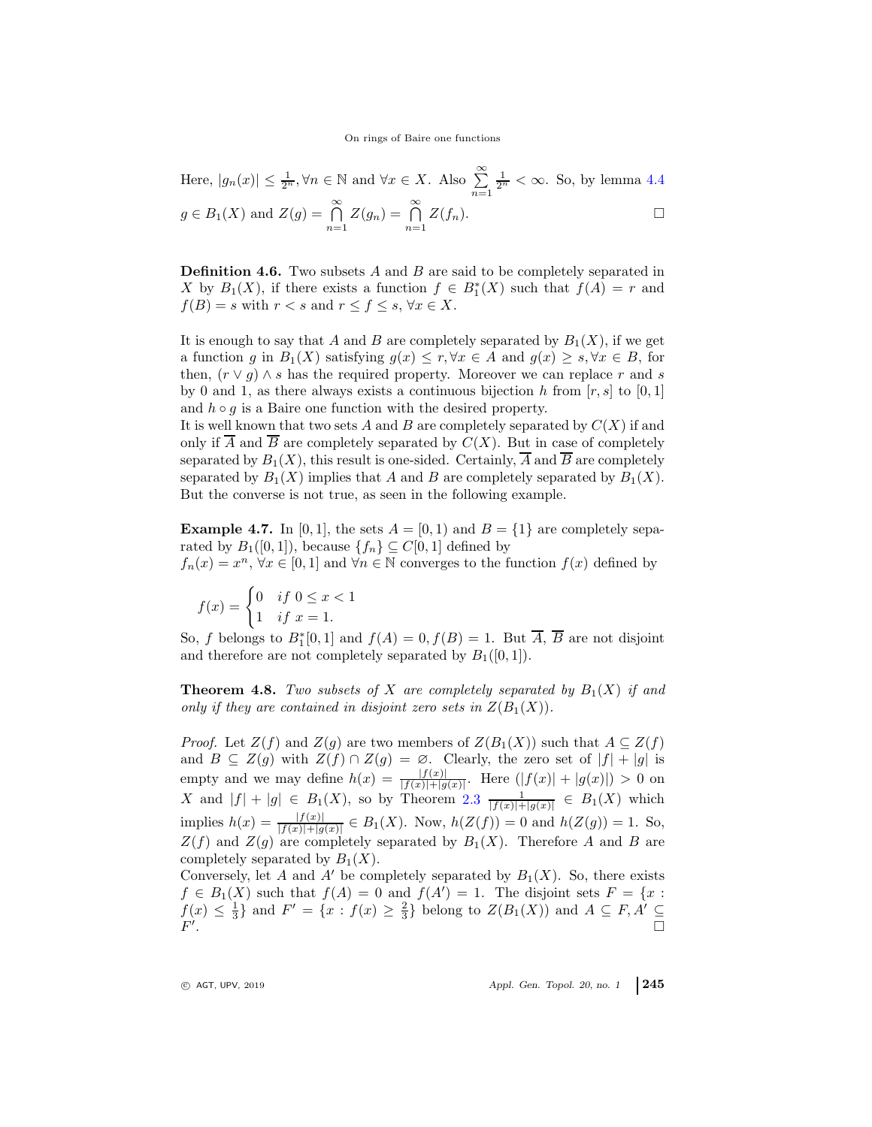Here, 
$$
|g_n(x)| \le \frac{1}{2^n}
$$
,  $\forall n \in \mathbb{N}$  and  $\forall x \in X$ . Also  $\sum_{n=1}^{\infty} \frac{1}{2^n} < \infty$ . So, by lemma 4.4  
 $g \in B_1(X)$  and  $Z(g) = \bigcap_{n=1}^{\infty} Z(g_n) = \bigcap_{n=1}^{\infty} Z(f_n)$ .

**Definition 4.6.** Two subsets  $A$  and  $B$  are said to be completely separated in X by  $B_1(X)$ , if there exists a function  $f \in B_1^*(X)$  such that  $f(A) = r$  and  $f(B) = s$  with  $r < s$  and  $r \le f \le s$ ,  $\forall x \in X$ .

It is enough to say that A and B are completely separated by  $B_1(X)$ , if we get a function g in  $B_1(X)$  satisfying  $g(x) \leq r, \forall x \in A$  and  $g(x) \geq s, \forall x \in B$ , for then,  $(r \vee g) \wedge s$  has the required property. Moreover we can replace r and s by 0 and 1, as there always exists a continuous bijection h from  $[r, s]$  to  $[0, 1]$ and  $h \circ q$  is a Baire one function with the desired property.

It is well known that two sets  $A$  and  $B$  are completely separated by  $C(X)$  if and only if  $\overline{A}$  and  $\overline{B}$  are completely separated by  $C(X)$ . But in case of completely separated by  $B_1(X)$ , this result is one-sided. Certainly,  $\overline{A}$  and  $\overline{B}$  are completely separated by  $B_1(X)$  implies that A and B are completely separated by  $B_1(X)$ . But the converse is not true, as seen in the following example.

**Example 4.7.** In [0, 1], the sets  $A = [0, 1)$  and  $B = \{1\}$  are completely separated by  $B_1([0,1])$ , because  $\{f_n\} \subseteq C[0,1]$  defined by  $f_n(x) = x^n, \forall x \in [0,1]$  and  $\forall n \in \mathbb{N}$  converges to the function  $f(x)$  defined by

$$
f(x) = \begin{cases} 0 & \text{if } 0 \le x < 1 \\ 1 & \text{if } x = 1. \end{cases}
$$

So, f belongs to  $B_1^*[0,1]$  and  $f(A) = 0, f(B) = 1$ . But  $\overline{A}, \overline{B}$  are not disjoint and therefore are not completely separated by  $B_1([0, 1])$ .

**Theorem 4.8.** Two subsets of X are completely separated by  $B_1(X)$  if and only if they are contained in disjoint zero sets in  $Z(B_1(X))$ .

*Proof.* Let  $Z(f)$  and  $Z(g)$  are two members of  $Z(B_1(X))$  such that  $A \subseteq Z(f)$ and  $B \subseteq Z(g)$  with  $Z(f) \cap Z(g) = \emptyset$ . Clearly, the zero set of  $|f| + |g|$  is empty and we may define  $h(x) = \frac{|f(x)|}{|f(x)| + |g(x)|}$ . Here  $(|f(x)| + |g(x)|) > 0$  on X and  $|f| + |g| \in B_1(X)$ , so by Theorem [2.3](#page-3-0)  $\frac{1}{|f(x)| + |g(x)|} \in B_1(X)$  which implies  $h(x) = \frac{|f(x)|}{|f(x)| + |g(x)|} \in B_1(X)$ . Now,  $h(Z(f)) = 0$  and  $h(Z(g)) = 1$ . So,  $Z(f)$  and  $Z(g)$  are completely separated by  $B_1(X)$ . Therefore A and B are completely separated by  $B_1(X)$ .

Conversely, let A and A' be completely separated by  $B_1(X)$ . So, there exists  $f \in B_1(X)$  such that  $f(A) = 0$  and  $f(A') = 1$ . The disjoint sets  $F = \{x :$  $f(x) \leq \frac{1}{3}$  and  $F' = \{x : f(x) \geq \frac{2}{3}\}$  belong to  $Z(B_1(X))$  and  $A \subseteq F, A' \subseteq$  $F'$ .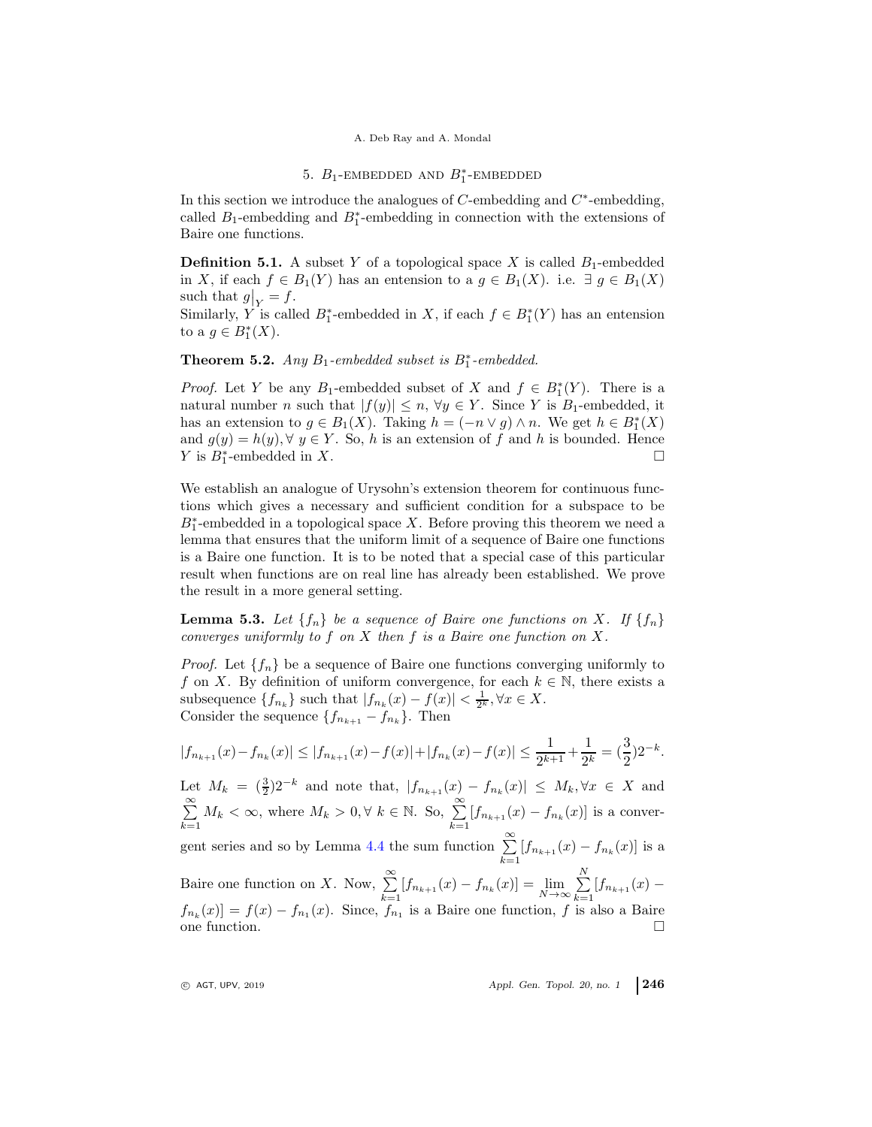### A. Deb Ray and A. Mondal

# 5.  $B_1$ -EMBEDDED AND  $B_1^*$ -EMBEDDED

In this section we introduce the analogues of  $C$ -embedding and  $C^*$ -embedding, called  $B_1$ -embedding and  $B_1^*$ -embedding in connection with the extensions of Baire one functions.

**Definition 5.1.** A subset Y of a topological space X is called  $B_1$ -embedded in X, if each  $f \in B_1(Y)$  has an entension to a  $g \in B_1(X)$ . i.e.  $\exists g \in B_1(X)$ such that  $g|_{Y} = f$ .

Similarly, Y is called  $B_1^*$ -embedded in X, if each  $f \in B_1^*(Y)$  has an entension to a  $g \in B_1^*(X)$ .

**Theorem 5.2.** Any  $B_1$ -embedded subset is  $B_1^*$ -embedded.

*Proof.* Let Y be any B<sub>1</sub>-embedded subset of X and  $f \in B_1^*(Y)$ . There is a natural number n such that  $|f(y)| \leq n, \forall y \in Y$ . Since Y is B<sub>1</sub>-embedded, it has an extension to  $g \in B_1(X)$ . Taking  $h = (-n \vee g) \wedge n$ . We get  $h \in B_1^*(X)$ and  $g(y) = h(y)$ ,  $\forall y \in Y$ . So, h is an extension of f and h is bounded. Hence *Y* is  $B_1^*$ -embedded in *X*. □

We establish an analogue of Urysohn's extension theorem for continuous functions which gives a necessary and sufficient condition for a subspace to be  $B_1^*$ -embedded in a topological space X. Before proving this theorem we need a lemma that ensures that the uniform limit of a sequence of Baire one functions is a Baire one function. It is to be noted that a special case of this particular result when functions are on real line has already been established. We prove the result in a more general setting.

**Lemma 5.3.** Let  $\{f_n\}$  be a sequence of Baire one functions on X. If  $\{f_n\}$ converges uniformly to  $f$  on  $X$  then  $f$  is a Baire one function on  $X$ .

*Proof.* Let  $\{f_n\}$  be a sequence of Baire one functions converging uniformly to f on X. By definition of uniform convergence, for each  $k \in \mathbb{N}$ , there exists a subsequence  $\{f_{n_k}\}\$  such that  $|f_{n_k}(x) - f(x)| < \frac{1}{2^k}, \forall x \in X$ . Consider the sequence  $\{f_{n_{k+1}} - f_{n_k}\}\$ . Then

$$
|f_{n_{k+1}}(x) - f_{n_k}(x)| \le |f_{n_{k+1}}(x) - f(x)| + |f_{n_k}(x) - f(x)| \le \frac{1}{2^{k+1}} + \frac{1}{2^k} = \left(\frac{3}{2}\right)2^{-k}.
$$

Let  $M_k = \left(\frac{3}{2}\right)2^{-k}$  and note that,  $|f_{n_{k+1}}(x) - f_{n_k}(x)| \leq M_k, \forall x \in X$  and  $\sum^{\infty}$  $\sum_{k=1}^{\infty} M_k < \infty$ , where  $M_k > 0, \forall k \in \mathbb{N}$ . So,  $\sum_{k=1}^{\infty} [f_{n_{k+1}}(x) - f_{n_k}(x)]$  is a conver-gent series and so by Lemma [4.4](#page-7-0) the sum function  $\sum_{n=1}^{\infty}$  $\sum_{k=1} [f_{n_{k+1}}(x) - f_{n_k}(x)]$  is a Baire one function on X. Now,  $\sum_{n=1}^{\infty}$  $\sum_{k=1}^{\infty} [f_{n_{k+1}}(x) - f_{n_k}(x)] = \lim_{N \to \infty} \sum_{k=1}^{N}$  $\sum_{k=1} [f_{n_{k+1}}(x)$  $f_{n_k}(x) = f(x) - f_{n_k}(x)$ . Since,  $f_{n_k}$  is a Baire one function, f is also a Baire one function.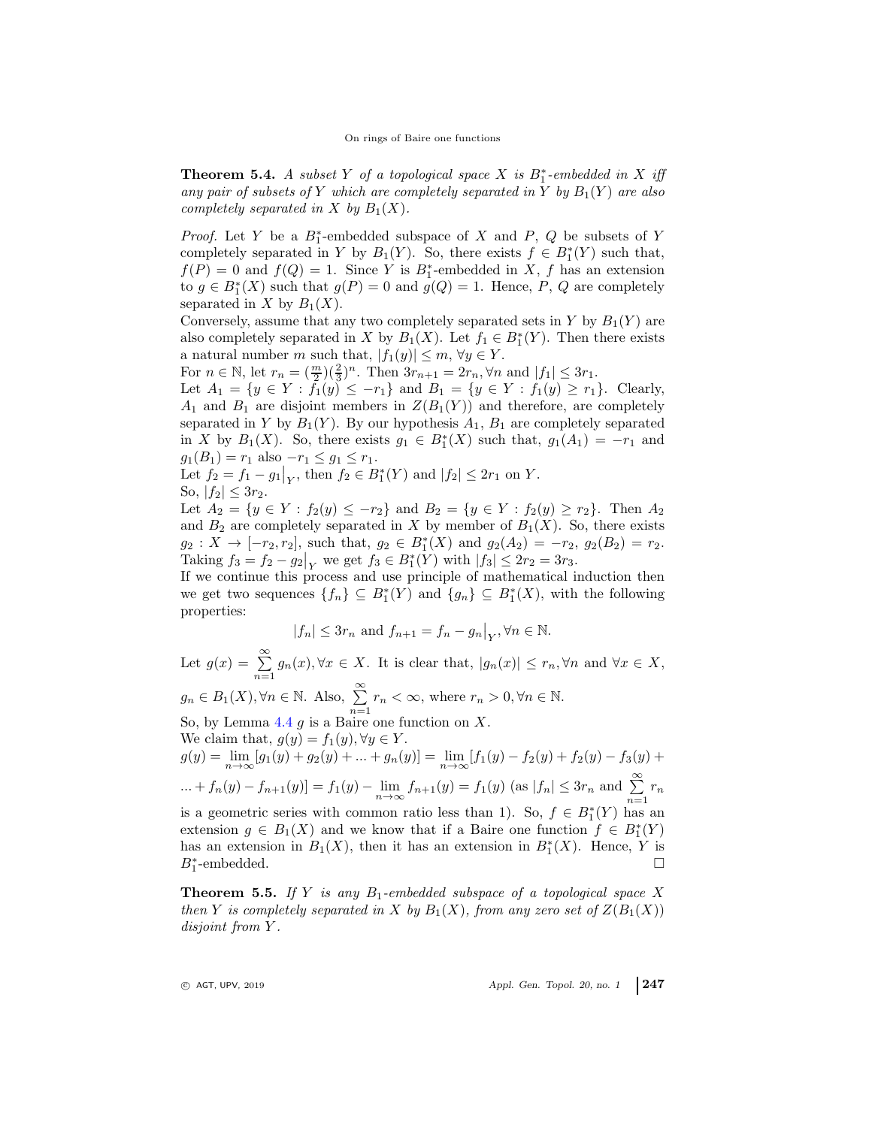**Theorem 5.4.** A subset Y of a topological space X is  $B_1^*$ -embedded in X iff any pair of subsets of Y which are completely separated in Y by  $B_1(Y)$  are also completely separated in X by  $B_1(X)$ .

*Proof.* Let Y be a  $B_1^*$ -embedded subspace of X and P, Q be subsets of Y completely separated in Y by  $B_1(Y)$ . So, there exists  $f \in B_1^*(Y)$  such that,  $f(P) = 0$  and  $f(Q) = 1$ . Since Y is  $B_1^*$ -embedded in X, f has an extension to  $g \in B_1^*(X)$  such that  $g(P) = 0$  and  $g(Q) = 1$ . Hence, P, Q are completely separated in X by  $B_1(X)$ .

Conversely, assume that any two completely separated sets in Y by  $B_1(Y)$  are also completely separated in X by  $B_1(X)$ . Let  $f_1 \in B^*_1(Y)$ . Then there exists a natural number m such that,  $|f_1(y)| \leq m, \forall y \in Y$ .

For  $n \in \mathbb{N}$ , let  $r_n = \left(\frac{m}{2}\right)\left(\frac{2}{3}\right)^n$ . Then  $3r_{n+1} = 2r_n, \forall n$  and  $|f_1| \leq 3r_1$ .

Let  $A_1 = \{y \in Y : f_1(y) \le -r_1\}$  and  $B_1 = \{y \in Y : f_1(y) \ge r_1\}$ . Clearly,  $A_1$  and  $B_1$  are disjoint members in  $Z(B_1(Y))$  and therefore, are completely separated in Y by  $B_1(Y)$ . By our hypothesis  $A_1$ ,  $B_1$  are completely separated in X by  $B_1(X)$ . So, there exists  $g_1 \in B_1^*(X)$  such that,  $g_1(A_1) = -r_1$  and  $g_1(B_1) = r_1$  also  $-r_1 \leq g_1 \leq r_1$ .

Let 
$$
f_2 = f_1 - g_1|_Y
$$
, then  $f_2 \in B_1^*(Y)$  and  $|f_2| \le 2r_1$  on Y.  
So,  $|f_2| \le 3r_2$ .

Let  $A_2 = \{y \in Y : f_2(y) \leq -r_2\}$  and  $B_2 = \{y \in Y : f_2(y) \geq r_2\}$ . Then  $A_2$ and  $B_2$  are completely separated in X by member of  $B_1(X)$ . So, there exists  $g_2: X \to [-r_2, r_2]$ , such that,  $g_2 \in B_1^*(X)$  and  $g_2(A_2) = -r_2$ ,  $g_2(B_2) = r_2$ . Taking  $f_3 = f_2 - g_2|_Y$  we get  $f_3 \in B_1^*(Y)$  with  $|f_3| \leq 2r_2 = 3r_3$ .

If we continue this process and use principle of mathematical induction then we get two sequences  $\{f_n\} \subseteq B_1^*(Y)$  and  $\{g_n\} \subseteq B_1^*(X)$ , with the following properties:

$$
|f_n| \leq 3r_n
$$
 and  $f_{n+1} = f_n - g_n|_Y, \forall n \in \mathbb{N}$ .

Let  $g(x) = \sum_{n=1}^{\infty} g_n(x)$ ,  $\forall x \in X$ . It is clear that,  $|g_n(x)| \leq r_n$ ,  $\forall n$  and  $\forall x \in X$ ,  $g_n \in B_1(X), \forall n \in \mathbb{N}$ . Also,  $\sum_{n=1}^{\infty} r_n < \infty$ , where  $r_n > 0, \forall n \in \mathbb{N}$ . So, by Lemma  $4.4$  g is a Baire one function on X. We claim that,  $g(y) = f_1(y), \forall y \in Y$ .  $g(y) = \lim_{n \to \infty} [g_1(y) + g_2(y) + \dots + g_n(y)] = \lim_{n \to \infty} [f_1(y) - f_2(y) + f_2(y) - f_3(y) +$ ... +  $f_n(y) - f_{n+1}(y) = f_1(y) - \lim_{n \to \infty} f_{n+1}(y) = f_1(y)$  (as  $|f_n| \le 3r_n$  and  $\sum_{n=1}^{\infty} r_n$ is a geometric series with common ratio less than 1). So,  $f \in B^*_1(Y)$  has an extension  $g \in B_1(X)$  and we know that if a Baire one function  $f \in B_1^*(Y)$ has an extension in  $B_1(X)$ , then it has an extension in  $B_1^*(X)$ . Hence, Y is  $B_1^*$ -embedded.

<span id="page-10-0"></span>**Theorem 5.5.** If Y is any  $B_1$ -embedded subspace of a topological space X then Y is completely separated in X by  $B_1(X)$ , from any zero set of  $Z(B_1(X))$ disjoint from Y.

 $Q$  AGT, UPV, 2019  $\qquad \qquad$  Appl. Gen. Topol. 20, no. 1 247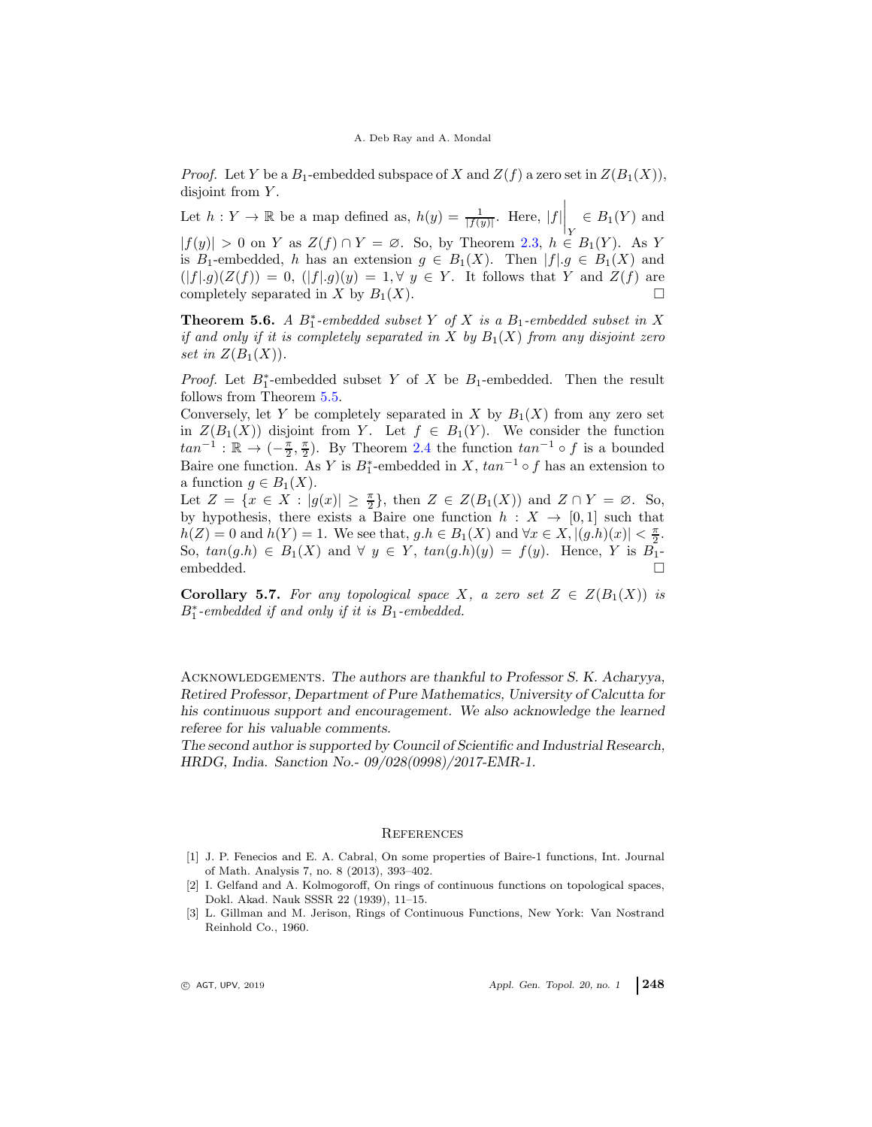*Proof.* Let Y be a  $B_1$ -embedded subspace of X and  $Z(f)$  a zero set in  $Z(B_1(X))$ , disjoint from Y.

Let  $h: Y \to \mathbb{R}$  be a map defined as,  $h(y) = \frac{1}{|f(y)|}$ . Here,  $|f| \Big|_Y$  $\in B_1(Y)$  and  $|f(y)| > 0$  on Y as  $Z(f) \cap Y = \emptyset$ . So, by Theorem [2.3,](#page-3-0)  $h \in B_1(Y)$ . As Y is B<sub>1</sub>-embedded, h has an extension  $g \in B_1(X)$ . Then  $|f| g \in B_1(X)$  and  $(|f|g)(Z(f)) = 0$ ,  $(|f|g)(y) = 1, \forall y \in Y$ . It follows that Y and  $Z(f)$  are completely separated in X by  $B_1(X)$ .

**Theorem 5.6.** A  $B_1^*$ -embedded subset Y of X is a  $B_1$ -embedded subset in X if and only if it is completely separated in X by  $B_1(X)$  from any disjoint zero set in  $Z(B_1(X))$ .

*Proof.* Let  $B_1^*$ -embedded subset Y of X be  $B_1$ -embedded. Then the result follows from Theorem [5.5.](#page-10-0)

Conversely, let Y be completely separated in X by  $B_1(X)$  from any zero set in  $Z(B_1(X))$  disjoint from Y. Let  $f \in B_1(Y)$ . We consider the function  $tan^{-1}$ :  $\mathbb{R} \to \left(-\frac{\pi}{2}, \frac{\pi}{2}\right)$ . By Theorem [2.4](#page-3-1) the function  $tan^{-1} \circ f$  is a bounded Baire one function. As Y is  $B_1^*$ -embedded in X,  $tan^{-1} \circ f$  has an extension to a function  $g \in B_1(X)$ .

Let  $Z = \{x \in X : |g(x)| \geq \frac{\pi}{2}\}\$ , then  $Z \in Z(B_1(X))$  and  $Z \cap Y = \emptyset$ . So, by hypothesis, there exists a Baire one function  $h : X \to [0,1]$  such that  $h(Z) = 0$  and  $h(Y) = 1$ . We see that,  $g.h \in B_1(X)$  and  $\forall x \in X, |(g.h)(x)| < \frac{\pi}{2}$ . So,  $tan(g.h) \in B_1(X)$  and  $\forall y \in Y$ ,  $tan(g.h)(y) = f(y)$ . Hence, Y is  $B_1$ embedded.

Corollary 5.7. For any topological space X, a zero set  $Z \in Z(B_1(X))$  is  $B_1^*$ -embedded if and only if it is  $B_1$ -embedded.

Acknowledgements. The authors are thankful to Professor S. K. Acharyya, Retired Professor, Department of Pure Mathematics, University of Calcutta for his continuous support and encouragement. We also acknowledge the learned referee for his valuable comments.

The second author is supported by Council of Scientific and Industrial Research, HRDG, India. Sanction No.- 09/028(0998)/2017-EMR-1.

#### <span id="page-11-0"></span>**REFERENCES**

- <span id="page-11-1"></span>[1] J. P. Fenecios and E. A. Cabral, On some properties of Baire-1 functions, Int. Journal of Math. Analysis 7, no. 8 (2013), 393–402.
- <span id="page-11-2"></span>[2] I. Gelfand and A. Kolmogoroff, On rings of continuous functions on topological spaces, Dokl. Akad. Nauk SSSR 22 (1939), 11–15.
- <span id="page-11-3"></span>[3] L. Gillman and M. Jerison, Rings of Continuous Functions, New York: Van Nostrand Reinhold Co., 1960.